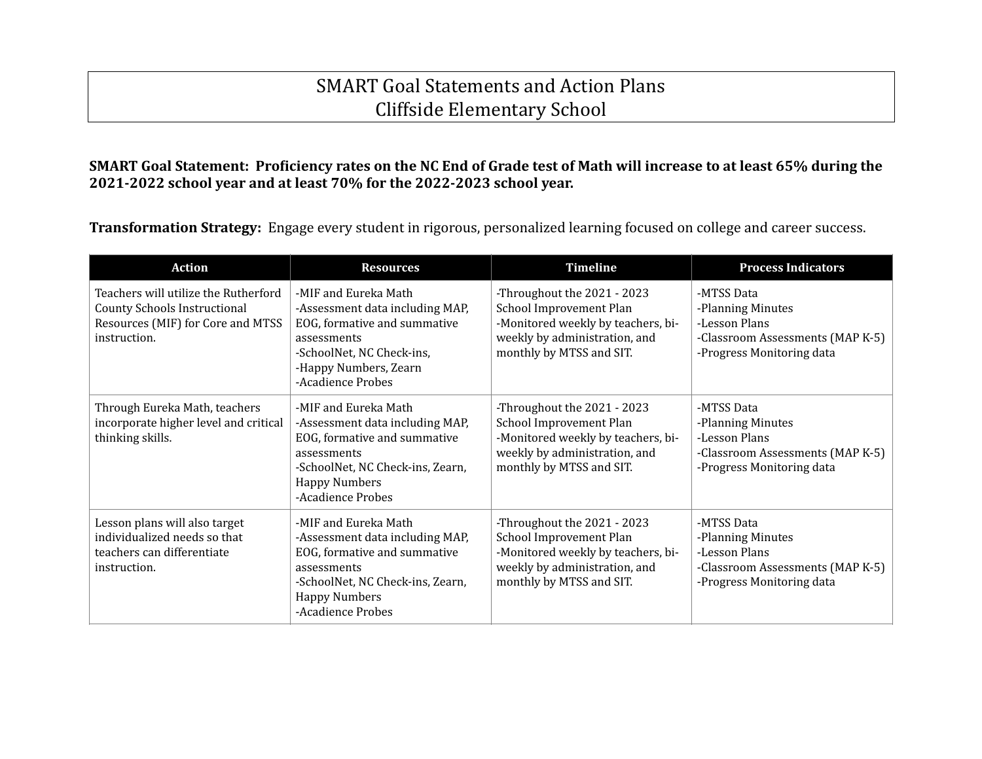## SMART Goal Statements and Action Plans Cliffside Elementary School

## SMART Goal Statement: Proficiency rates on the NC End of Grade test of Math will increase to at least 65% during the **2021-2022 school year and at least 70% for the 2022-2023 school year.**

Transformation Strategy: Engage every student in rigorous, personalized learning focused on college and career success.

| <b>Action</b>                                                                                                                    | <b>Resources</b>                                                                                                                                                                        | Timeline                                                                                                                                                  | <b>Process Indicators</b>                                                                                         |
|----------------------------------------------------------------------------------------------------------------------------------|-----------------------------------------------------------------------------------------------------------------------------------------------------------------------------------------|-----------------------------------------------------------------------------------------------------------------------------------------------------------|-------------------------------------------------------------------------------------------------------------------|
| Teachers will utilize the Rutherford<br><b>County Schools Instructional</b><br>Resources (MIF) for Core and MTSS<br>instruction. | -MIF and Eureka Math<br>-Assessment data including MAP,<br>EOG, formative and summative<br>assessments<br>-SchoolNet, NC Check-ins,<br>-Happy Numbers, Zearn<br>-Acadience Probes       | -Throughout the 2021 - 2023<br>School Improvement Plan<br>-Monitored weekly by teachers, bi-<br>weekly by administration, and<br>monthly by MTSS and SIT. | -MTSS Data<br>-Planning Minutes<br>-Lesson Plans<br>-Classroom Assessments (MAP K-5)<br>-Progress Monitoring data |
| Through Eureka Math, teachers<br>incorporate higher level and critical<br>thinking skills.                                       | -MIF and Eureka Math<br>-Assessment data including MAP,<br>EOG, formative and summative<br>assessments<br>-SchoolNet, NC Check-ins, Zearn,<br><b>Happy Numbers</b><br>-Acadience Probes | -Throughout the 2021 - 2023<br>School Improvement Plan<br>-Monitored weekly by teachers, bi-<br>weekly by administration, and<br>monthly by MTSS and SIT. | -MTSS Data<br>-Planning Minutes<br>-Lesson Plans<br>-Classroom Assessments (MAP K-5)<br>-Progress Monitoring data |
| Lesson plans will also target<br>individualized needs so that<br>teachers can differentiate<br>instruction.                      | -MIF and Eureka Math<br>-Assessment data including MAP,<br>EOG, formative and summative<br>assessments<br>-SchoolNet, NC Check-ins, Zearn,<br><b>Happy Numbers</b><br>-Acadience Probes | -Throughout the 2021 - 2023<br>School Improvement Plan<br>-Monitored weekly by teachers, bi-<br>weekly by administration, and<br>monthly by MTSS and SIT. | -MTSS Data<br>-Planning Minutes<br>-Lesson Plans<br>-Classroom Assessments (MAP K-5)<br>-Progress Monitoring data |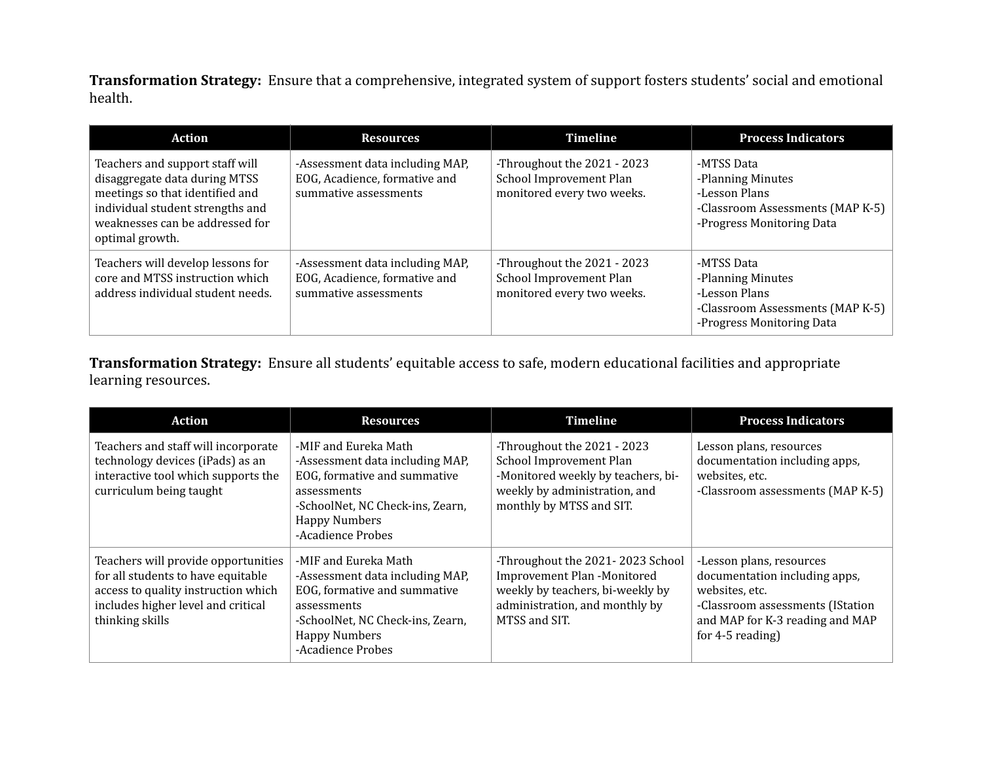Transformation Strategy: Ensure that a comprehensive, integrated system of support fosters students' social and emotional health.

| <b>Action</b>                                                                                                                                                                                 | <b>Resources</b>                                                                          | <b>Timeline</b>                                                                      | <b>Process Indicators</b>                                                                                         |
|-----------------------------------------------------------------------------------------------------------------------------------------------------------------------------------------------|-------------------------------------------------------------------------------------------|--------------------------------------------------------------------------------------|-------------------------------------------------------------------------------------------------------------------|
| Teachers and support staff will<br>disaggregate data during MTSS<br>meetings so that identified and<br>individual student strengths and<br>weaknesses can be addressed for<br>optimal growth. | -Assessment data including MAP,<br>EOG, Acadience, formative and<br>summative assessments | -Throughout the 2021 - 2023<br>School Improvement Plan<br>monitored every two weeks. | -MTSS Data<br>-Planning Minutes<br>-Lesson Plans<br>-Classroom Assessments (MAP K-5)<br>-Progress Monitoring Data |
| Teachers will develop lessons for<br>core and MTSS instruction which<br>address individual student needs.                                                                                     | -Assessment data including MAP,<br>EOG, Acadience, formative and<br>summative assessments | -Throughout the 2021 - 2023<br>School Improvement Plan<br>monitored every two weeks. | -MTSS Data<br>-Planning Minutes<br>-Lesson Plans<br>-Classroom Assessments (MAP K-5)<br>-Progress Monitoring Data |

Transformation Strategy: Ensure all students' equitable access to safe, modern educational facilities and appropriate learning resources.

| <b>Action</b>                                                                                                                                                             | <b>Resources</b>                                                                                                                                                                        | <b>Timeline</b>                                                                                                                                           | <b>Process Indicators</b>                                                                                                                                                |
|---------------------------------------------------------------------------------------------------------------------------------------------------------------------------|-----------------------------------------------------------------------------------------------------------------------------------------------------------------------------------------|-----------------------------------------------------------------------------------------------------------------------------------------------------------|--------------------------------------------------------------------------------------------------------------------------------------------------------------------------|
| Teachers and staff will incorporate<br>technology devices (iPads) as an<br>interactive tool which supports the<br>curriculum being taught                                 | -MIF and Eureka Math<br>-Assessment data including MAP,<br>EOG, formative and summative<br>assessments<br>-SchoolNet, NC Check-ins, Zearn,<br><b>Happy Numbers</b><br>-Acadience Probes | -Throughout the 2021 - 2023<br>School Improvement Plan<br>-Monitored weekly by teachers, bi-<br>weekly by administration, and<br>monthly by MTSS and SIT. | Lesson plans, resources<br>documentation including apps,<br>websites, etc.<br>-Classroom assessments (MAP K-5)                                                           |
| Teachers will provide opportunities<br>for all students to have equitable<br>access to quality instruction which<br>includes higher level and critical<br>thinking skills | -MIF and Eureka Math<br>-Assessment data including MAP,<br>EOG, formative and summative<br>assessments<br>-SchoolNet, NC Check-ins, Zearn,<br><b>Happy Numbers</b><br>-Acadience Probes | -Throughout the 2021-2023 School<br>Improvement Plan -Monitored<br>weekly by teachers, bi-weekly by<br>administration, and monthly by<br>MTSS and SIT.    | -Lesson plans, resources<br>documentation including apps,<br>websites, etc.<br>-Classroom assessments (IStation<br>and MAP for K-3 reading and MAP<br>for $4-5$ reading) |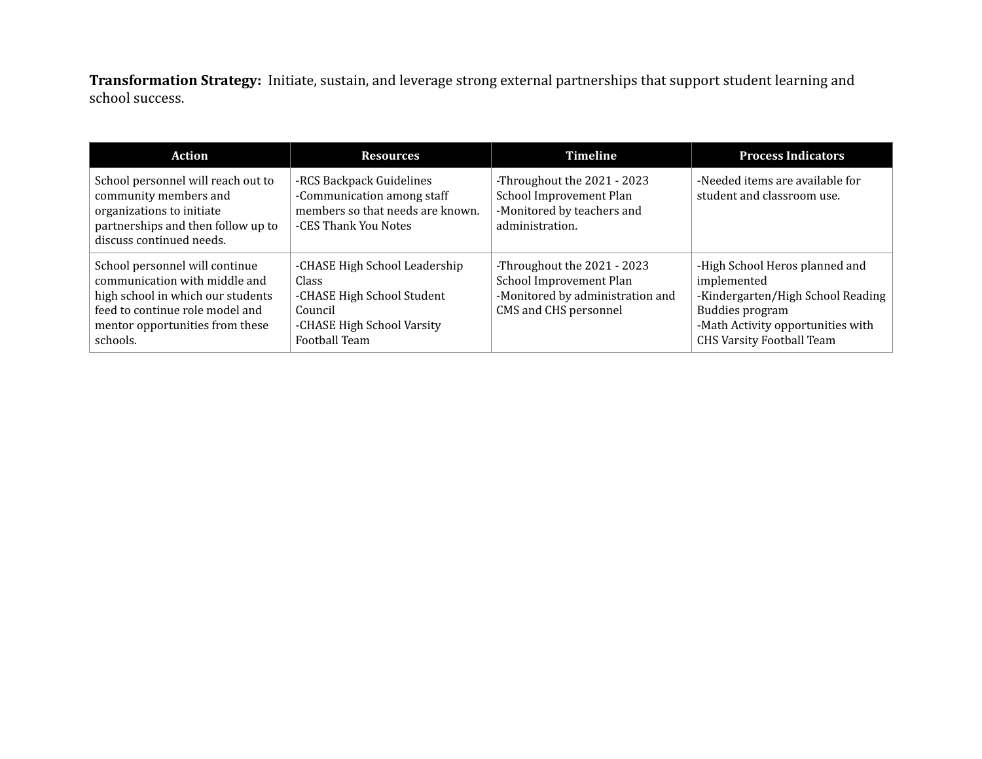Transformation Strategy: Initiate, sustain, and leverage strong external partnerships that support student learning and school success.

| Action                                                                                                                                                                                 | <b>Resources</b>                                                                                                                      | <b>Timeline</b>                                                                                                     | <b>Process Indicators</b>                                                                                                                                                      |
|----------------------------------------------------------------------------------------------------------------------------------------------------------------------------------------|---------------------------------------------------------------------------------------------------------------------------------------|---------------------------------------------------------------------------------------------------------------------|--------------------------------------------------------------------------------------------------------------------------------------------------------------------------------|
| School personnel will reach out to<br>community members and<br>organizations to initiate<br>partnerships and then follow up to<br>discuss continued needs.                             | -RCS Backpack Guidelines<br>-Communication among staff<br>members so that needs are known.<br>-CES Thank You Notes                    | -Throughout the 2021 - 2023<br>School Improvement Plan<br>-Monitored by teachers and<br>administration.             | -Needed items are available for<br>student and classroom use.                                                                                                                  |
| School personnel will continue<br>communication with middle and<br>high school in which our students<br>feed to continue role model and<br>mentor opportunities from these<br>schools. | -CHASE High School Leadership<br>Class<br>-CHASE High School Student<br>Council<br>-CHASE High School Varsity<br><b>Football Team</b> | -Throughout the 2021 - 2023<br>School Improvement Plan<br>-Monitored by administration and<br>CMS and CHS personnel | -High School Heros planned and<br>implemented<br>-Kindergarten/High School Reading<br>Buddies program<br>-Math Activity opportunities with<br><b>CHS Varsity Football Team</b> |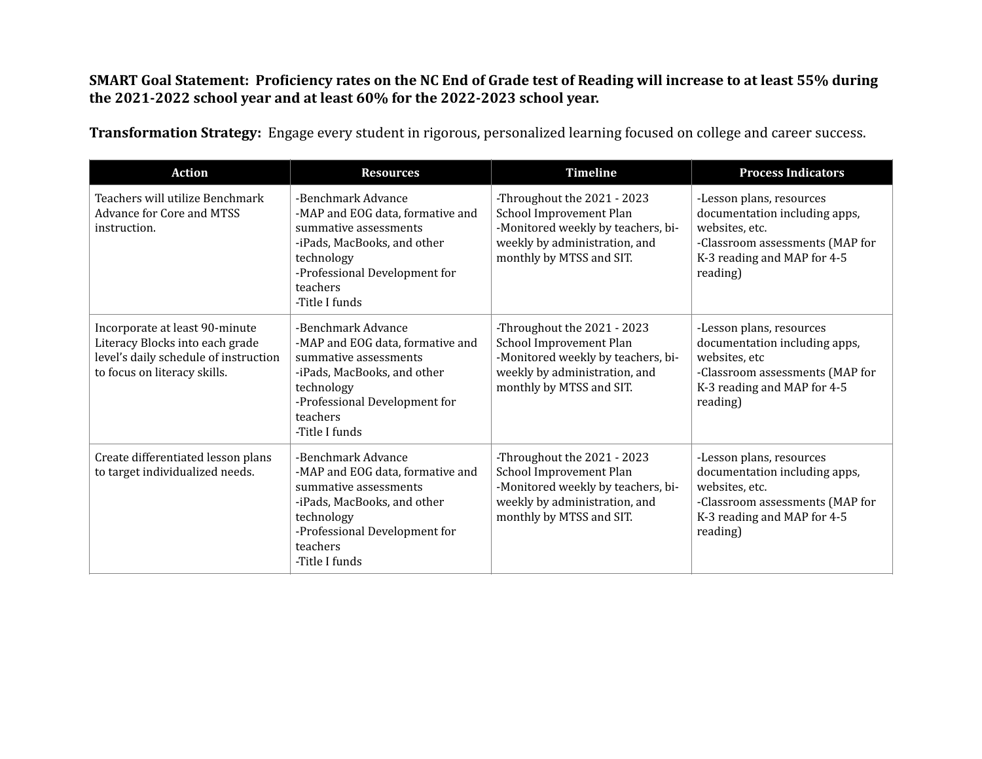## **SMART** Goal Statement: Proficiency rates on the NC End of Grade test of Reading will increase to at least 55% during the 2021-2022 school year and at least 60% for the 2022-2023 school year.

**Transformation Strategy:** Engage every student in rigorous, personalized learning focused on college and career success.

| <b>Action</b>                                                                                                                              | <b>Resources</b>                                                                                                                                                                            | <b>Timeline</b>                                                                                                                                           | <b>Process Indicators</b>                                                                                                                                 |
|--------------------------------------------------------------------------------------------------------------------------------------------|---------------------------------------------------------------------------------------------------------------------------------------------------------------------------------------------|-----------------------------------------------------------------------------------------------------------------------------------------------------------|-----------------------------------------------------------------------------------------------------------------------------------------------------------|
| Teachers will utilize Benchmark<br>Advance for Core and MTSS<br>instruction.                                                               | -Benchmark Advance<br>-MAP and EOG data, formative and<br>summative assessments<br>-iPads, MacBooks, and other<br>technology<br>-Professional Development for<br>teachers<br>-Title I funds | -Throughout the 2021 - 2023<br>School Improvement Plan<br>-Monitored weekly by teachers, bi-<br>weekly by administration, and<br>monthly by MTSS and SIT. | -Lesson plans, resources<br>documentation including apps,<br>websites, etc.<br>-Classroom assessments (MAP for<br>K-3 reading and MAP for 4-5<br>reading) |
| Incorporate at least 90-minute<br>Literacy Blocks into each grade<br>level's daily schedule of instruction<br>to focus on literacy skills. | -Benchmark Advance<br>-MAP and EOG data, formative and<br>summative assessments<br>-iPads, MacBooks, and other<br>technology<br>-Professional Development for<br>teachers<br>-Title I funds | -Throughout the 2021 - 2023<br>School Improvement Plan<br>-Monitored weekly by teachers, bi-<br>weekly by administration, and<br>monthly by MTSS and SIT. | -Lesson plans, resources<br>documentation including apps,<br>websites, etc<br>-Classroom assessments (MAP for<br>K-3 reading and MAP for 4-5<br>reading)  |
| Create differentiated lesson plans<br>to target individualized needs.                                                                      | -Benchmark Advance<br>-MAP and EOG data, formative and<br>summative assessments<br>-iPads, MacBooks, and other<br>technology<br>-Professional Development for<br>teachers<br>-Title I funds | -Throughout the 2021 - 2023<br>School Improvement Plan<br>-Monitored weekly by teachers, bi-<br>weekly by administration, and<br>monthly by MTSS and SIT. | -Lesson plans, resources<br>documentation including apps,<br>websites, etc.<br>-Classroom assessments (MAP for<br>K-3 reading and MAP for 4-5<br>reading) |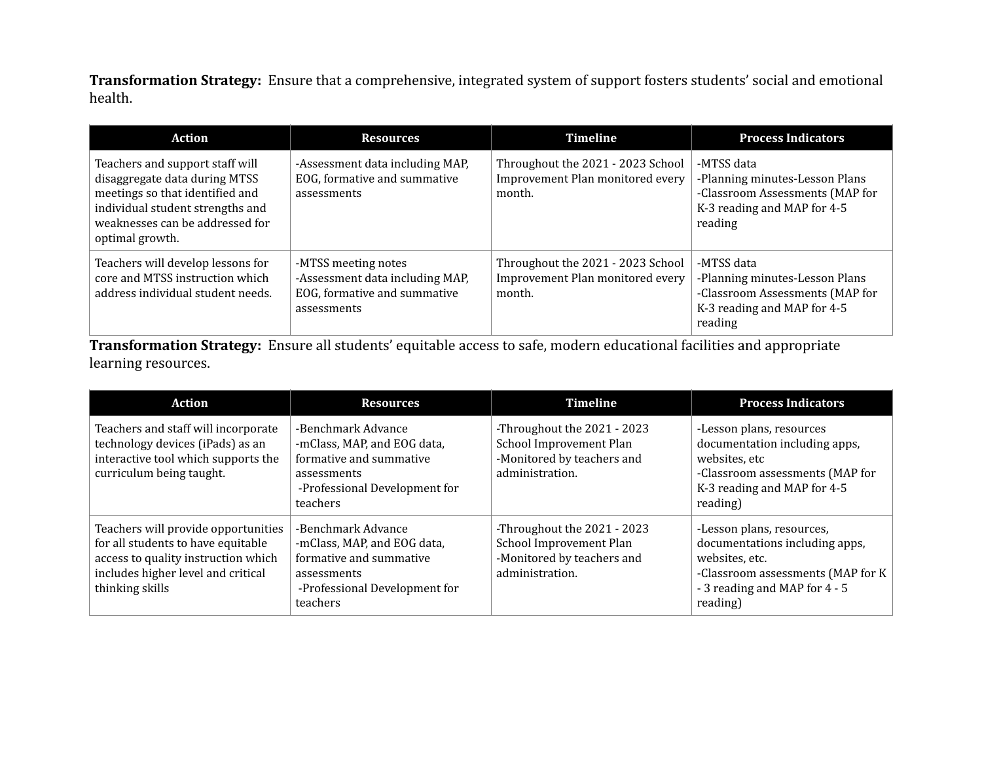Transformation Strategy: Ensure that a comprehensive, integrated system of support fosters students' social and emotional health.

| Action                                                                                                                                                                                        | <b>Resources</b>                                                                                      | <b>Timeline</b>                                                                 | <b>Process Indicators</b>                                                                                                 |
|-----------------------------------------------------------------------------------------------------------------------------------------------------------------------------------------------|-------------------------------------------------------------------------------------------------------|---------------------------------------------------------------------------------|---------------------------------------------------------------------------------------------------------------------------|
| Teachers and support staff will<br>disaggregate data during MTSS<br>meetings so that identified and<br>individual student strengths and<br>weaknesses can be addressed for<br>optimal growth. | -Assessment data including MAP,<br>EOG, formative and summative<br>assessments                        | Throughout the 2021 - 2023 School<br>Improvement Plan monitored every<br>month. | -MTSS data<br>-Planning minutes-Lesson Plans<br>-Classroom Assessments (MAP for<br>K-3 reading and MAP for 4-5<br>reading |
| Teachers will develop lessons for<br>core and MTSS instruction which<br>address individual student needs.                                                                                     | -MTSS meeting notes<br>-Assessment data including MAP,<br>EOG, formative and summative<br>assessments | Throughout the 2021 - 2023 School<br>Improvement Plan monitored every<br>month. | -MTSS data<br>-Planning minutes-Lesson Plans<br>-Classroom Assessments (MAP for<br>K-3 reading and MAP for 4-5<br>reading |

Transformation Strategy: Ensure all students' equitable access to safe, modern educational facilities and appropriate learning resources.

| <b>Action</b>                                                                                                                                                             | <b>Resources</b>                                                                                                                         | <b>Timeline</b>                                                                                         | <b>Process Indicators</b>                                                                                                                                        |
|---------------------------------------------------------------------------------------------------------------------------------------------------------------------------|------------------------------------------------------------------------------------------------------------------------------------------|---------------------------------------------------------------------------------------------------------|------------------------------------------------------------------------------------------------------------------------------------------------------------------|
| Teachers and staff will incorporate<br>technology devices (iPads) as an<br>interactive tool which supports the<br>curriculum being taught.                                | -Benchmark Advance<br>-mClass, MAP, and EOG data,<br>formative and summative<br>assessments<br>-Professional Development for<br>teachers | -Throughout the 2021 - 2023<br>School Improvement Plan<br>-Monitored by teachers and<br>administration. | -Lesson plans, resources<br>documentation including apps,<br>websites, etc<br>-Classroom assessments (MAP for<br>K-3 reading and MAP for 4-5<br>reading)         |
| Teachers will provide opportunities<br>for all students to have equitable<br>access to quality instruction which<br>includes higher level and critical<br>thinking skills | -Benchmark Advance<br>-mClass, MAP, and EOG data,<br>formative and summative<br>assessments<br>-Professional Development for<br>teachers | -Throughout the 2021 - 2023<br>School Improvement Plan<br>-Monitored by teachers and<br>administration. | -Lesson plans, resources,<br>documentations including apps,<br>websites, etc.<br>-Classroom assessments (MAP for K)<br>- 3 reading and MAP for 4 - 5<br>reading) |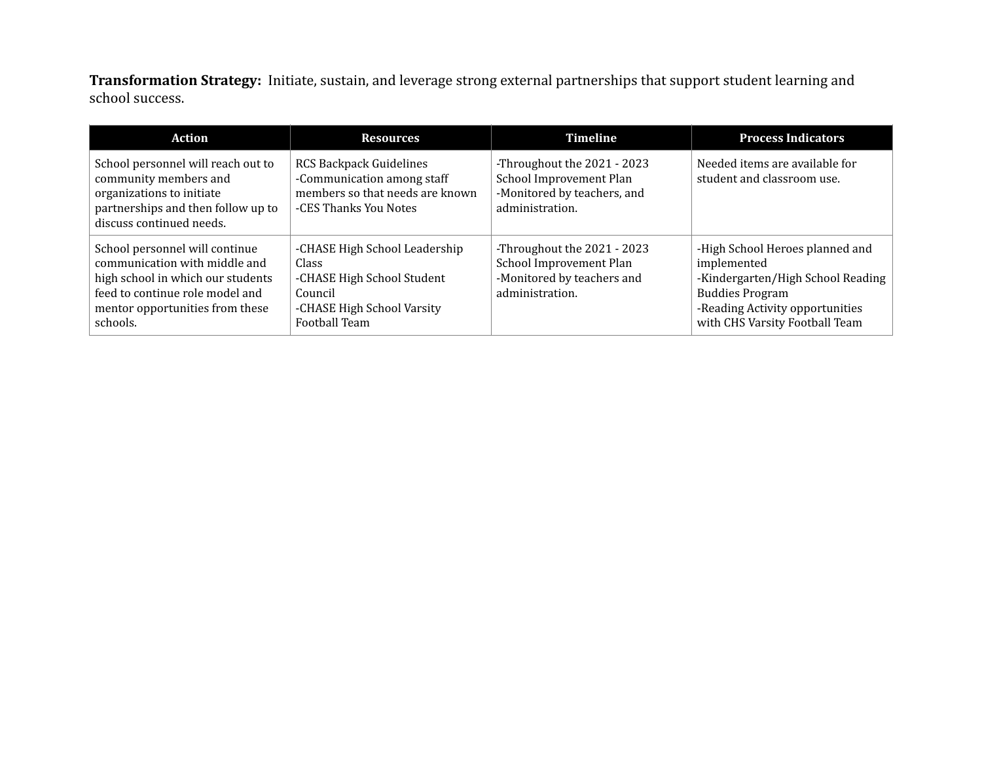Transformation Strategy: Initiate, sustain, and leverage strong external partnerships that support student learning and school success.

| Action                                                                                                                                                                                 | <b>Resources</b>                                                                                                                      | <b>Timeline</b>                                                                                          | <b>Process Indicators</b>                                                                                                                                                          |
|----------------------------------------------------------------------------------------------------------------------------------------------------------------------------------------|---------------------------------------------------------------------------------------------------------------------------------------|----------------------------------------------------------------------------------------------------------|------------------------------------------------------------------------------------------------------------------------------------------------------------------------------------|
| School personnel will reach out to<br>community members and<br>organizations to initiate<br>partnerships and then follow up to<br>discuss continued needs.                             | RCS Backpack Guidelines<br>-Communication among staff<br>members so that needs are known<br>-CES Thanks You Notes                     | -Throughout the 2021 - 2023<br>School Improvement Plan<br>-Monitored by teachers, and<br>administration. | Needed items are available for<br>student and classroom use.                                                                                                                       |
| School personnel will continue<br>communication with middle and<br>high school in which our students<br>feed to continue role model and<br>mentor opportunities from these<br>schools. | -CHASE High School Leadership<br><b>Class</b><br>-CHASE High School Student<br>Council<br>-CHASE High School Varsity<br>Football Team | -Throughout the 2021 - 2023<br>School Improvement Plan<br>-Monitored by teachers and<br>administration.  | -High School Heroes planned and<br>implemented<br>-Kindergarten/High School Reading<br><b>Buddies Program</b><br>-Reading Activity opportunities<br>with CHS Varsity Football Team |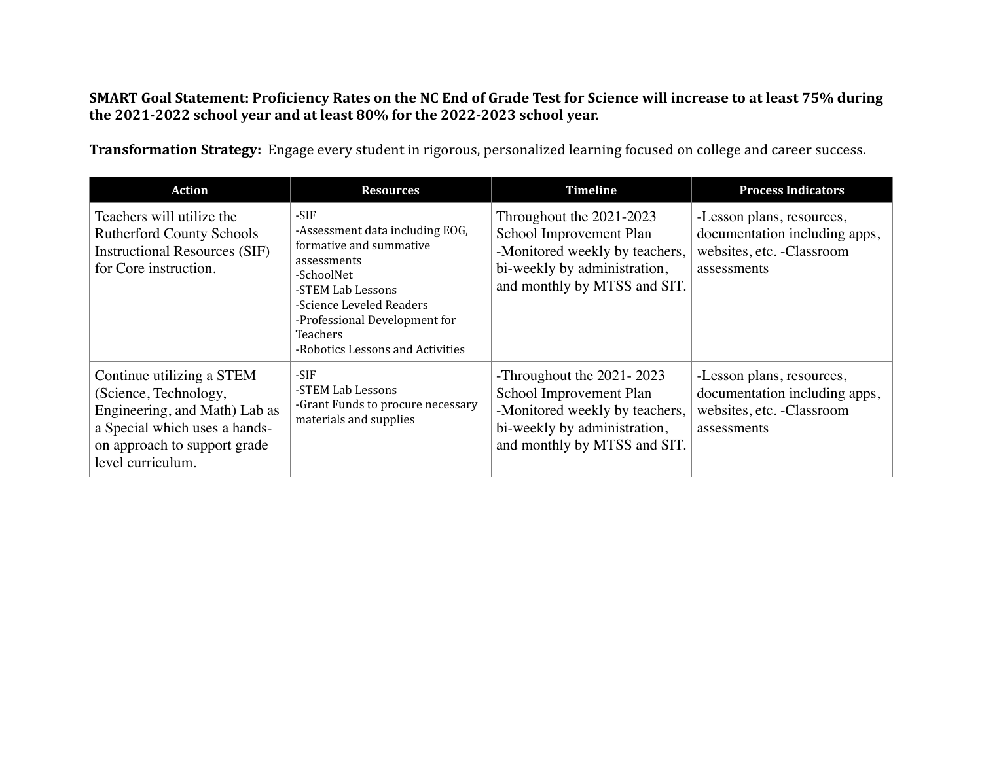## SMART Goal Statement: Proficiency Rates on the NC End of Grade Test for Science will increase to at least 75% during the 2021-2022 school year and at least 80% for the 2022-2023 school year.

Transformation Strategy: Engage every student in rigorous, personalized learning focused on college and career success.

| <b>Action</b>                                                                                                                                                             | <b>Resources</b>                                                                                                                                                                                                                         | <b>Timeline</b>                                                                                                                                        | <b>Process Indicators</b>                                                                               |
|---------------------------------------------------------------------------------------------------------------------------------------------------------------------------|------------------------------------------------------------------------------------------------------------------------------------------------------------------------------------------------------------------------------------------|--------------------------------------------------------------------------------------------------------------------------------------------------------|---------------------------------------------------------------------------------------------------------|
| Teachers will utilize the<br><b>Rutherford County Schools</b><br><b>Instructional Resources (SIF)</b><br>for Core instruction.                                            | -SIF<br>-Assessment data including EOG,<br>formative and summative<br>assessments<br>-SchoolNet<br>-STEM Lab Lessons<br>-Science Leveled Readers<br>-Professional Development for<br><b>Teachers</b><br>-Robotics Lessons and Activities | Throughout the 2021-2023<br>School Improvement Plan<br>-Monitored weekly by teachers,<br>bi-weekly by administration,<br>and monthly by MTSS and SIT.  | -Lesson plans, resources,<br>documentation including apps,<br>websites, etc. -Classroom<br>assessments  |
| Continue utilizing a STEM<br>(Science, Technology,<br>Engineering, and Math) Lab as<br>a Special which uses a hands-<br>on approach to support grade<br>level curriculum. | -SIF<br>-STEM Lab Lessons<br>-Grant Funds to procure necessary<br>materials and supplies                                                                                                                                                 | -Throughout the 2021-2023<br>School Improvement Plan<br>-Monitored weekly by teachers,<br>bi-weekly by administration,<br>and monthly by MTSS and SIT. | -Lesson plans, resources,<br>documentation including apps,<br>websites, etc. - Classroom<br>assessments |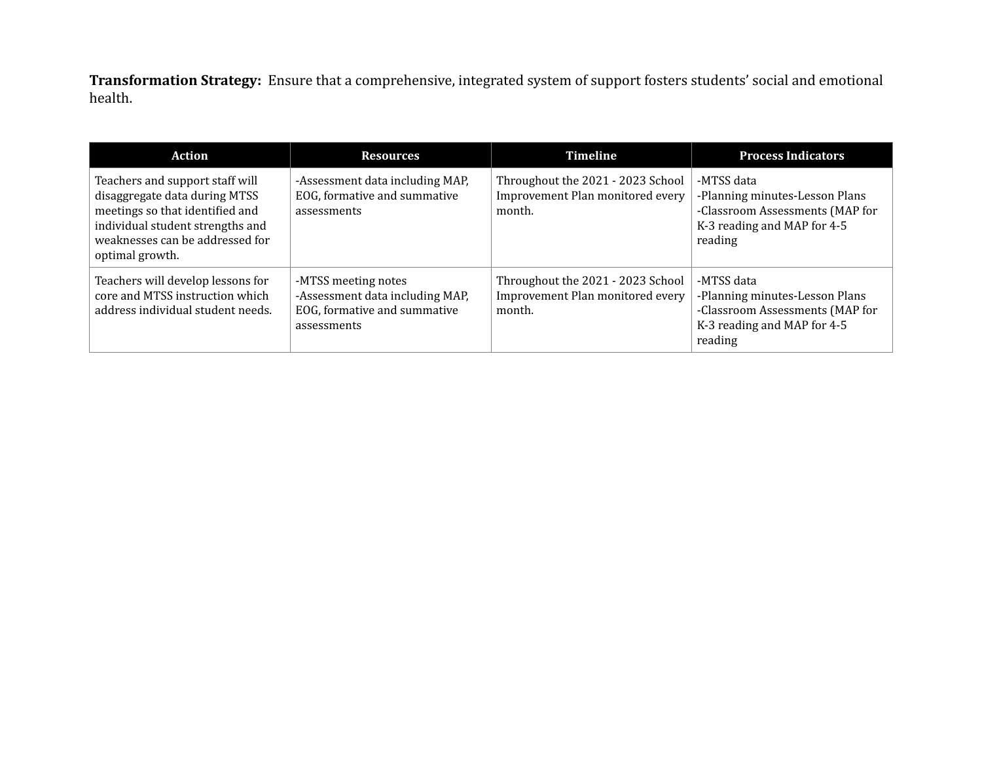Transformation Strategy: Ensure that a comprehensive, integrated system of support fosters students' social and emotional health.

| <b>Action</b>                                                                                                                                                                                 | <b>Resources</b>                                                                                      | <b>Timeline</b>                                                                 | <b>Process Indicators</b>                                                                                                 |
|-----------------------------------------------------------------------------------------------------------------------------------------------------------------------------------------------|-------------------------------------------------------------------------------------------------------|---------------------------------------------------------------------------------|---------------------------------------------------------------------------------------------------------------------------|
| Teachers and support staff will<br>disaggregate data during MTSS<br>meetings so that identified and<br>individual student strengths and<br>weaknesses can be addressed for<br>optimal growth. | -Assessment data including MAP,<br>EOG, formative and summative<br>assessments                        | Throughout the 2021 - 2023 School<br>Improvement Plan monitored every<br>month. | -MTSS data<br>-Planning minutes-Lesson Plans<br>-Classroom Assessments (MAP for<br>K-3 reading and MAP for 4-5<br>reading |
| Teachers will develop lessons for<br>core and MTSS instruction which<br>address individual student needs.                                                                                     | -MTSS meeting notes<br>-Assessment data including MAP,<br>EOG, formative and summative<br>assessments | Throughout the 2021 - 2023 School<br>Improvement Plan monitored every<br>month. | -MTSS data<br>-Planning minutes-Lesson Plans<br>-Classroom Assessments (MAP for<br>K-3 reading and MAP for 4-5<br>reading |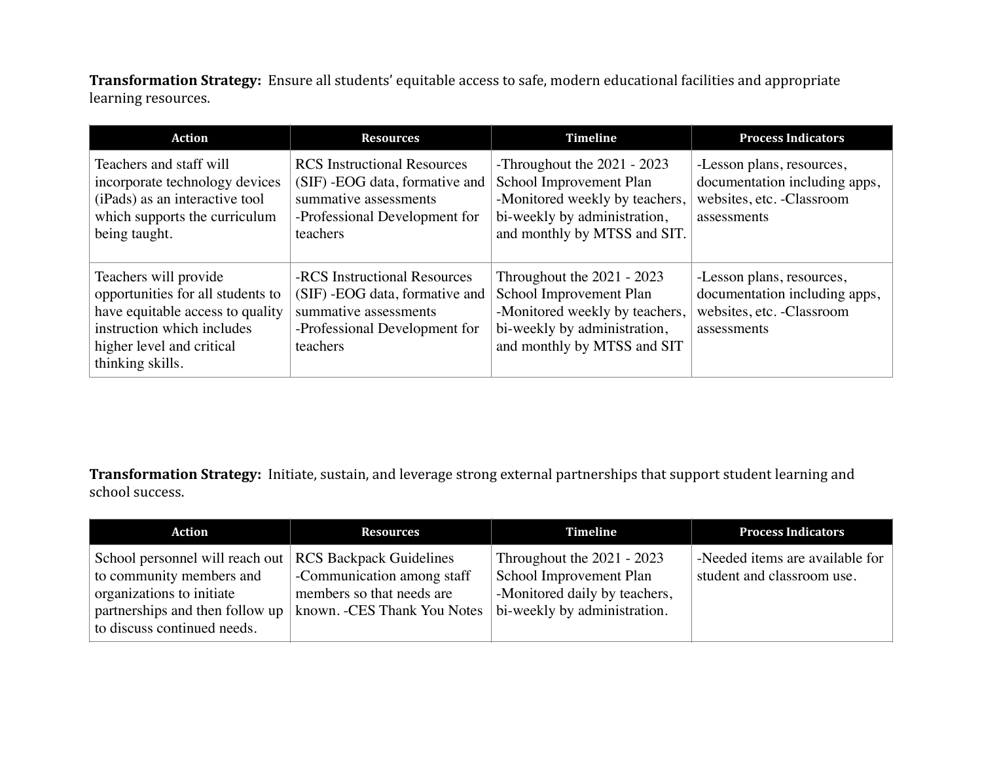Transformation Strategy: Ensure all students' equitable access to safe, modern educational facilities and appropriate learning resources.

| <b>Action</b>                                                                                                                                                                 | <b>Resources</b>                                                                                                                            | <b>Timeline</b>                                                                                                                                          | <b>Process Indicators</b>                                                                              |
|-------------------------------------------------------------------------------------------------------------------------------------------------------------------------------|---------------------------------------------------------------------------------------------------------------------------------------------|----------------------------------------------------------------------------------------------------------------------------------------------------------|--------------------------------------------------------------------------------------------------------|
| Teachers and staff will<br>incorporate technology devices<br>(iPads) as an interactive tool<br>which supports the curriculum<br>being taught.                                 | <b>RCS</b> Instructional Resources<br>(SIF) - EOG data, formative and<br>summative assessments<br>-Professional Development for<br>teachers | -Throughout the 2021 - 2023<br>School Improvement Plan<br>-Monitored weekly by teachers,<br>bi-weekly by administration,<br>and monthly by MTSS and SIT. | -Lesson plans, resources,<br>documentation including apps,<br>websites, etc. -Classroom<br>assessments |
| Teachers will provide<br>opportunities for all students to<br>have equitable access to quality<br>instruction which includes<br>higher level and critical<br>thinking skills. | -RCS Instructional Resources<br>(SIF) - EOG data, formative and<br>summative assessments<br>-Professional Development for<br>teachers       | Throughout the 2021 - 2023<br>School Improvement Plan<br>-Monitored weekly by teachers,<br>bi-weekly by administration,<br>and monthly by MTSS and SIT   | -Lesson plans, resources,<br>documentation including apps,<br>websites, etc. -Classroom<br>assessments |

Transformation Strategy: Initiate, sustain, and leverage strong external partnerships that support student learning and school success.

| Action                                                                                                                                                     | <b>Resources</b>                                                                                                         | <b>Timeline</b>                                                                                                          | <b>Process Indicators</b>                                     |
|------------------------------------------------------------------------------------------------------------------------------------------------------------|--------------------------------------------------------------------------------------------------------------------------|--------------------------------------------------------------------------------------------------------------------------|---------------------------------------------------------------|
| School personnel will reach out<br>to community members and<br>organizations to initiate<br>partnerships and then follow up<br>to discuss continued needs. | <b>RCS Backpack Guidelines</b><br>-Communication among staff<br>members so that needs are<br>known. -CES Thank You Notes | Throughout the $2021 - 2023$<br>School Improvement Plan<br>-Monitored daily by teachers,<br>bi-weekly by administration. | -Needed items are available for<br>student and classroom use. |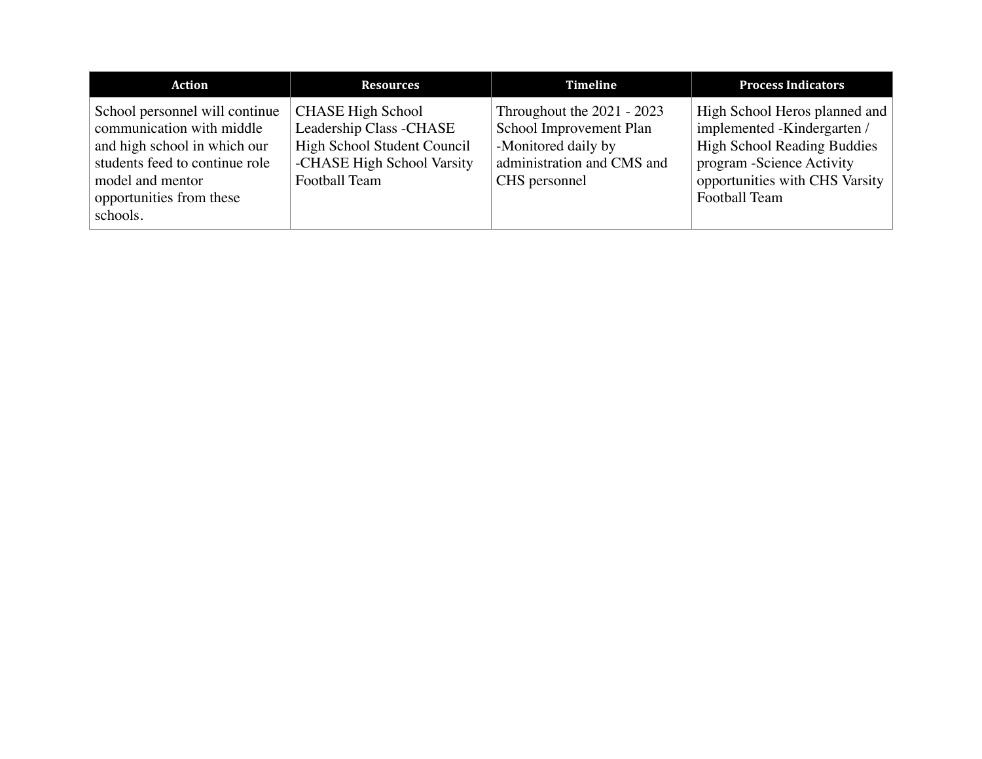| Action                                                                                                                                                                                    | <b>Resources</b>                                                                                                                         | <b>Timeline</b>                                                                                                             | <b>Process Indicators</b>                                                                                                                                                           |
|-------------------------------------------------------------------------------------------------------------------------------------------------------------------------------------------|------------------------------------------------------------------------------------------------------------------------------------------|-----------------------------------------------------------------------------------------------------------------------------|-------------------------------------------------------------------------------------------------------------------------------------------------------------------------------------|
| School personnel will continue<br>communication with middle<br>and high school in which our<br>students feed to continue role<br>model and mentor<br>opportunities from these<br>schools. | <b>CHASE High School</b><br>Leadership Class -CHASE<br>High School Student Council<br>-CHASE High School Varsity<br><b>Football Team</b> | Throughout the 2021 - 2023<br>School Improvement Plan<br>-Monitored daily by<br>administration and CMS and<br>CHS personnel | High School Heros planned and<br>implemented -Kindergarten /<br><b>High School Reading Buddies</b><br>program - Science Activity<br>opportunities with CHS Varsity<br>Football Team |